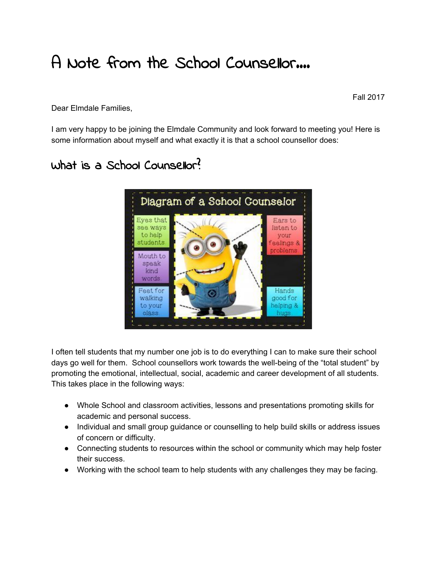## A Note from the School Counsellor….

Fall 2017

Dear Elmdale Families,

I am very happy to be joining the Elmdale Community and look forward to meeting you! Here is some information about myself and what exactly it is that a school counsellor does:

## What is a School Counsellor?



I often tell students that my number one job is to do everything I can to make sure their school days go well for them. School counsellors work towards the well-being of the "total student" by promoting the emotional, intellectual, social, academic and career development of all students. This takes place in the following ways:

- Whole School and classroom activities, lessons and presentations promoting skills for academic and personal success.
- Individual and small group guidance or counselling to help build skills or address issues of concern or difficulty.
- Connecting students to resources within the school or community which may help foster their success.
- Working with the school team to help students with any challenges they may be facing.